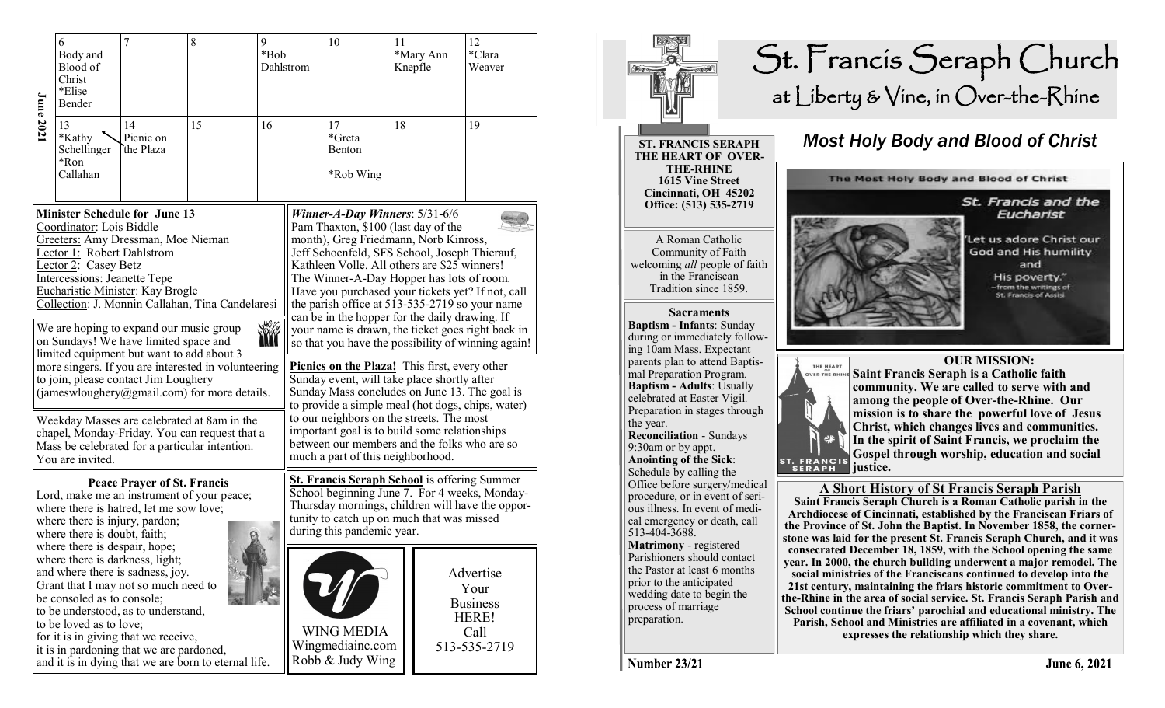| <b>June 202</b> 1                                                                                                                                                                                                                                                                                                                                                                                                                                                                                                                                                                         | 6<br>Body and<br>Blood of<br>Christ<br>*Elise<br>Bender | 7                            | 8  | 9<br>*Bob | Dahlstrom                                                                                                                                                                                                                                                                                                                                                                                                                                                                                                                                                                                                                                                                                                                                                                                    | 10                                                                                                                                 | 11 | *Mary Ann<br>Knepfle | 12<br>*Clara<br>Weaver                                                |  |
|-------------------------------------------------------------------------------------------------------------------------------------------------------------------------------------------------------------------------------------------------------------------------------------------------------------------------------------------------------------------------------------------------------------------------------------------------------------------------------------------------------------------------------------------------------------------------------------------|---------------------------------------------------------|------------------------------|----|-----------|----------------------------------------------------------------------------------------------------------------------------------------------------------------------------------------------------------------------------------------------------------------------------------------------------------------------------------------------------------------------------------------------------------------------------------------------------------------------------------------------------------------------------------------------------------------------------------------------------------------------------------------------------------------------------------------------------------------------------------------------------------------------------------------------|------------------------------------------------------------------------------------------------------------------------------------|----|----------------------|-----------------------------------------------------------------------|--|
|                                                                                                                                                                                                                                                                                                                                                                                                                                                                                                                                                                                           | 13<br>*Kathy<br>Schellinger<br>*Ron<br>Callahan         | 14<br>Picnic on<br>the Plaza | 15 | 16        |                                                                                                                                                                                                                                                                                                                                                                                                                                                                                                                                                                                                                                                                                                                                                                                              | 17<br>*Greta<br>Benton<br>*Rob Wing                                                                                                | 18 |                      | 19                                                                    |  |
| <b>Minister Schedule for June 13</b><br>Coordinator: Lois Biddle<br>Greeters: Amy Dressman, Moe Nieman<br>Lector 1: Robert Dahlstrom<br>Lector 2: Casey Betz<br><b>Intercessions: Jeanette Tepe</b><br>Eucharistic Minister: Kay Brogle<br>Collection: J. Monnin Callahan, Tina Candelaresi<br><b>WWW</b><br>We are hoping to expand our music group<br>on Sundays! We have limited space and<br>limited equipment but want to add about 3<br>more singers. If you are interested in volunteering<br>to join, please contact Jim Loughery<br>(jameswloughery@gmail.com) for more details. |                                                         |                              |    |           | Winner-A-Day Winners: $5/31-6/6$<br>Pam Thaxton, \$100 (last day of the<br>month), Greg Friedmann, Norb Kinross,<br>Jeff Schoenfeld, SFS School, Joseph Thierauf,<br>Kathleen Volle. All others are \$25 winners!<br>The Winner-A-Day Hopper has lots of room.<br>Have you purchased your tickets yet? If not, call<br>the parish office at 513-535-2719 so your name<br>can be in the hopper for the daily drawing. If<br>your name is drawn, the ticket goes right back in<br>so that you have the possibility of winning again!<br><b>Picnics on the Plaza!</b> This first, every other<br>Sunday event, will take place shortly after<br>Sunday Mass concludes on June 13. The goal is<br>to provide a simple meal (hot dogs, chips, water)<br>to our neighbors on the streets. The most |                                                                                                                                    |    |                      |                                                                       |  |
| Weekday Masses are celebrated at 8am in the<br>chapel, Monday-Friday. You can request that a<br>Mass be celebrated for a particular intention.<br>You are invited.                                                                                                                                                                                                                                                                                                                                                                                                                        |                                                         |                              |    |           |                                                                                                                                                                                                                                                                                                                                                                                                                                                                                                                                                                                                                                                                                                                                                                                              | important goal is to build some relationships<br>between our members and the folks who are so<br>much a part of this neighborhood. |    |                      |                                                                       |  |
| <b>Peace Prayer of St. Francis</b><br>Lord, make me an instrument of your peace;<br>where there is hatred, let me sow love;<br>where there is injury, pardon;<br>where there is doubt, faith;<br>where there is despair, hope;<br>where there is darkness, light;<br>and where there is sadness, joy.<br>Grant that I may not so much need to<br>be consoled as to console;<br>to be understood, as to understand,<br>to be loved as to love;<br>for it is in giving that we receive,<br>it is in pardoning that we are pardoned,<br>and it is in dying that we are born to eternal life. |                                                         |                              |    |           | <b>St. Francis Seraph School</b> is offering Summer<br>School beginning June 7. For 4 weeks, Monday-<br>Thursday mornings, children will have the oppor-<br>tunity to catch up on much that was missed<br>during this pandemic year.                                                                                                                                                                                                                                                                                                                                                                                                                                                                                                                                                         |                                                                                                                                    |    |                      |                                                                       |  |
|                                                                                                                                                                                                                                                                                                                                                                                                                                                                                                                                                                                           |                                                         |                              |    |           |                                                                                                                                                                                                                                                                                                                                                                                                                                                                                                                                                                                                                                                                                                                                                                                              | <b>WING MEDIA</b><br>Wingmediainc.com<br>Robb & Judy Wing                                                                          |    |                      | Advertise<br>Your<br><b>Business</b><br>HERE!<br>Call<br>513-535-2719 |  |